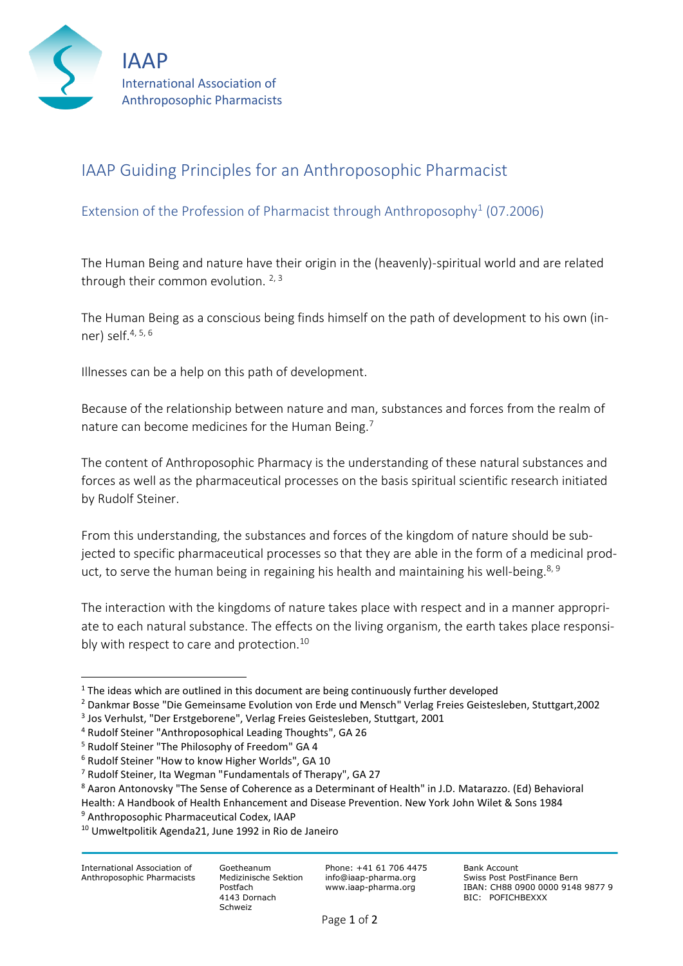

## IAAP Guiding Principles for an Anthroposophic Pharmacist

## Extension of the Profession of Pharmacist through Anthroposophy<sup>1</sup> (07.2006)

The Human Being and nature have their origin in the (heavenly)-spiritual world and are related through their common evolution.  $2,3$ 

The Human Being as a conscious being finds himself on the path of development to his own (inner) self.4, 5, <sup>6</sup>

Illnesses can be a help on this path of development.

Because of the relationship between nature and man, substances and forces from the realm of nature can become medicines for the Human Being.<sup>7</sup>

The content of Anthroposophic Pharmacy is the understanding of these natural substances and forces as well as the pharmaceutical processes on the basis spiritual scientific research initiated by Rudolf Steiner.

From this understanding, the substances and forces of the kingdom of nature should be subjected to specific pharmaceutical processes so that they are able in the form of a medicinal product, to serve the human being in regaining his health and maintaining his well-being.<sup>8, 9</sup>

The interaction with the kingdoms of nature takes place with respect and in a manner appropriate to each natural substance. The effects on the living organism, the earth takes place responsibly with respect to care and protection.<sup>10</sup>

Goetheanum Medizinische Sektion Postfach 4143 Dornach Schweiz

Phone: +41 61 706 4475 info@iaap-pharma.org www.iaap-pharma.org

<sup>&</sup>lt;sup>1</sup> The ideas which are outlined in this document are being continuously further developed

<sup>2</sup> Dankmar Bosse "Die Gemeinsame Evolution von Erde und Mensch" Verlag Freies Geistesleben, Stuttgart,2002

<sup>3</sup> Jos Verhulst, "Der Erstgeborene", Verlag Freies Geistesleben, Stuttgart, 2001

<sup>4</sup> Rudolf Steiner "Anthroposophical Leading Thoughts", GA 26

<sup>5</sup> Rudolf Steiner "The Philosophy of Freedom" GA 4

<sup>6</sup> Rudolf Steiner "How to know Higher Worlds", GA 10

<sup>7</sup> Rudolf Steiner, Ita Wegman "Fundamentals of Therapy", GA 27

<sup>8</sup> Aaron Antonovsky "The Sense of Coherence as a Determinant of Health" in J.D. Matarazzo. (Ed) Behavioral

Health: A Handbook of Health Enhancement and Disease Prevention. New York John Wilet & Sons 1984

<sup>9</sup> Anthroposophic Pharmaceutical Codex, IAAP

<sup>10</sup> Umweltpolitik Agenda21, June 1992 in Rio de Janeiro

International Association of Anthroposophic Pharmacists